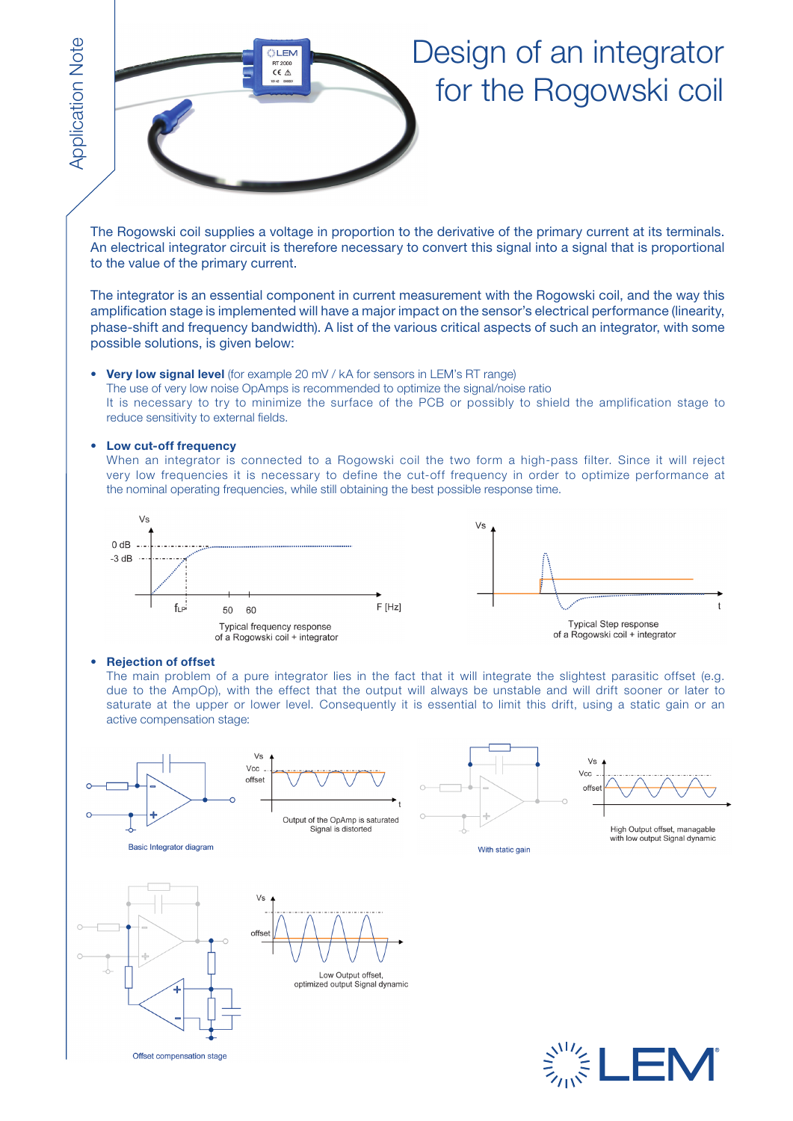

## Design of an integrator for the Rogowski coil

The Rogowski coil supplies a voltage in proportion to the derivative of the primary current at its terminals. An electrical integrator circuit is therefore necessary to convert this signal into a signal that is proportional to the value of the primary current.

The integrator is an essential component in current measurement with the Rogowski coil, and the way this amplification stage is implemented will have a major impact on the sensor's electrical performance (linearity, phase-shift and frequency bandwidth). A list of the various critical aspects of such an integrator, with some possible solutions, is given below:

**Very low signal level** (for example 20 mV / kA for sensors in LEM's RT range) The use of very low noise OpAmps is recommended to optimize the signal/noise ratio It is necessary to try to minimize the surface of the PCB or possibly to shield the amplification stage to reduce sensitivity to external fields.

#### • **Low cut-off frequency**

When an integrator is connected to a Rogowski coil the two form a high-pass filter. Since it will reject very low frequencies it is necessary to define the cut-off frequency in order to optimize performance at the nominal operating frequencies, while still obtaining the best possible response time.



#### • **Rejection of offset**

The main problem of a pure integrator lies in the fact that it will integrate the slightest parasitic offset (e.g. due to the AmpOp), with the effect that the output will always be unstable and will drift sooner or later to saturate at the upper or lower level. Consequently it is essential to limit this drift, using a static gain or an active compensation stage:









High Output offset, managable<br>with low output Signal dynamic









optimized output Signal dynamic